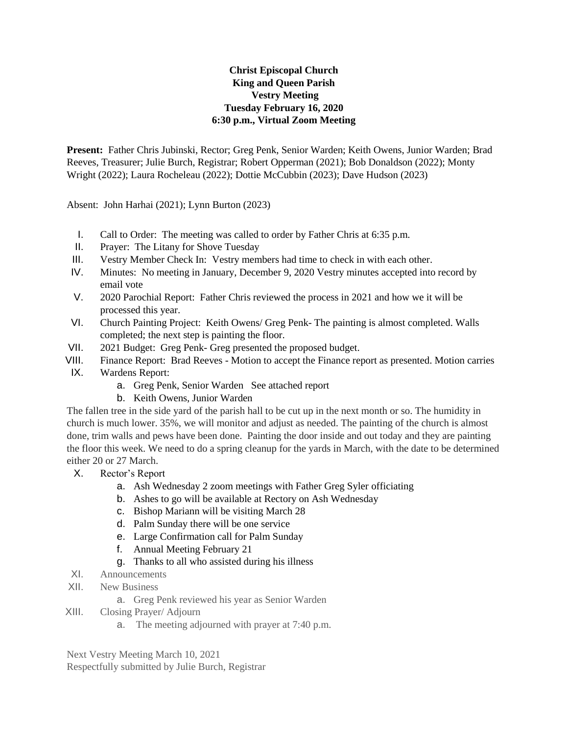## **Christ Episcopal Church King and Queen Parish Vestry Meeting Tuesday February 16, 2020 6:30 p.m., Virtual Zoom Meeting**

**Present:** Father Chris Jubinski, Rector; Greg Penk, Senior Warden; Keith Owens, Junior Warden; Brad Reeves, Treasurer; Julie Burch, Registrar; Robert Opperman (2021); Bob Donaldson (2022); Monty Wright (2022); Laura Rocheleau (2022); Dottie McCubbin (2023); Dave Hudson (2023)

Absent: John Harhai (2021); Lynn Burton (2023)

- I. Call to Order: The meeting was called to order by Father Chris at 6:35 p.m.
- II. Prayer: The Litany for Shove Tuesday
- III. Vestry Member Check In: Vestry members had time to check in with each other.
- IV. Minutes: No meeting in January, December 9, 2020 Vestry minutes accepted into record by email vote
- V. 2020 Parochial Report: Father Chris reviewed the process in 2021 and how we it will be processed this year.
- VI. Church Painting Project: Keith Owens/ Greg Penk- The painting is almost completed. Walls completed; the next step is painting the floor.
- VII. 2021 Budget: Greg Penk- Greg presented the proposed budget.
- VIII. Finance Report: Brad Reeves Motion to accept the Finance report as presented. Motion carries IX. Wardens Report:
	- a. Greg Penk, Senior Warden See attached report
	- b. Keith Owens, Junior Warden

The fallen tree in the side yard of the parish hall to be cut up in the next month or so. The humidity in church is much lower. 35%, we will monitor and adjust as needed. The painting of the church is almost done, trim walls and pews have been done. Painting the door inside and out today and they are painting the floor this week. We need to do a spring cleanup for the yards in March, with the date to be determined either 20 or 27 March.

- X. Rector's Report
	- a. Ash Wednesday 2 zoom meetings with Father Greg Syler officiating
	- b. Ashes to go will be available at Rectory on Ash Wednesday
	- c. Bishop Mariann will be visiting March 28
	- d. Palm Sunday there will be one service
	- e. Large Confirmation call for Palm Sunday
	- f. Annual Meeting February 21
	- g. Thanks to all who assisted during his illness
- XI. Announcements
- XII. New Business
	- a. Greg Penk reviewed his year as Senior Warden
- XIII. Closing Prayer/ Adjourn
	- a. The meeting adjourned with prayer at 7:40 p.m.

Next Vestry Meeting March 10, 2021 Respectfully submitted by Julie Burch, Registrar